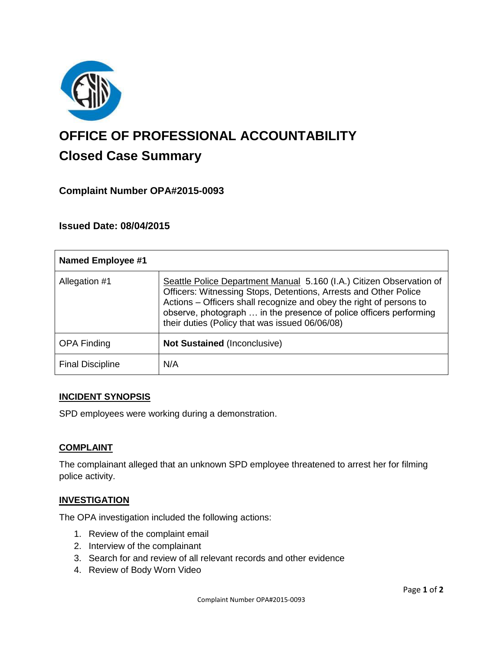

# **OFFICE OF PROFESSIONAL ACCOUNTABILITY Closed Case Summary**

# **Complaint Number OPA#2015-0093**

# **Issued Date: 08/04/2015**

| <b>Named Employee #1</b> |                                                                                                                                                                                                                                                                                                                                         |
|--------------------------|-----------------------------------------------------------------------------------------------------------------------------------------------------------------------------------------------------------------------------------------------------------------------------------------------------------------------------------------|
| Allegation #1            | Seattle Police Department Manual 5.160 (I.A.) Citizen Observation of<br>Officers: Witnessing Stops, Detentions, Arrests and Other Police<br>Actions – Officers shall recognize and obey the right of persons to<br>observe, photograph  in the presence of police officers performing<br>their duties (Policy that was issued 06/06/08) |
| <b>OPA Finding</b>       | <b>Not Sustained (Inconclusive)</b>                                                                                                                                                                                                                                                                                                     |
| <b>Final Discipline</b>  | N/A                                                                                                                                                                                                                                                                                                                                     |

## **INCIDENT SYNOPSIS**

SPD employees were working during a demonstration.

## **COMPLAINT**

The complainant alleged that an unknown SPD employee threatened to arrest her for filming police activity.

#### **INVESTIGATION**

The OPA investigation included the following actions:

- 1. Review of the complaint email
- 2. Interview of the complainant
- 3. Search for and review of all relevant records and other evidence
- 4. Review of Body Worn Video